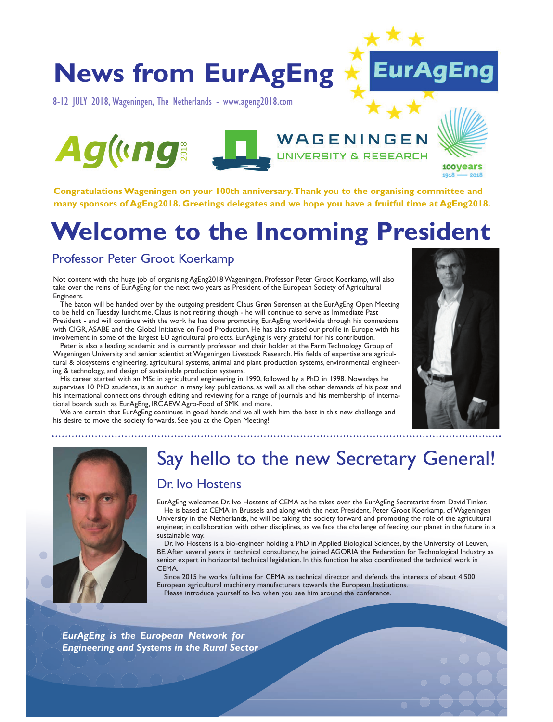## **News from EurAgEng**

8-12 JULY 2018,Wageningen, The Netherlands - www.ageng2018.com





## WAGENINGEN **UNIVERSITY & RESEARCH**



100Vears 1918

**Congratulations Wageningen on your 100th anniversary.Thank you to the organising committee and many sponsors of AgEng2018. Greetings delegates and we hope you have a fruitful time at AgEng2018.**

## **Welcome to the Incoming President**

### Professor Peter Groot Koerkamp

Not content with the huge job of organising AgEng2018 Wageningen, Professor Peter Groot Koerkamp, will also take over the reins of EurAgEng for the next two years as President of the European Society of Agricultural Engineers.

The baton will be handed over by the outgoing president Claus Grøn Sørensen at the EurAgEng Open Meeting to be held on Tuesday lunchtime. Claus is not retiring though - he will continue to serve as Immediate Past President - and will continue with the work he has done promoting EurAgEng worldwide through his connexions with CIGR,ASABE and the Global Initiative on Food Production. He has also raised our profile in Europe with his involvement in some of the largest EU agricultural projects. EurAgEng is very grateful for his contribution.

Peter is also a leading academic and is currently professor and chair holder at the Farm Technology Group of Wageningen University and senior scientist at Wageningen Livestock Research. His fields of expertise are agricultural & biosystems engineering, agricultural systems, animal and plant production systems, environmental engineering & technology, and design of sustainable production systems.

His career started with an MSc in agricultural engineering in 1990, followed by a PhD in 1998. Nowadays he supervises 10 PhD students, is an author in many key publications, as well as all the other demands of his post and his international connections through editing and reviewing for a range of journals and his membership of international boards such as EurAgEng, IRCAEW,Agro-Food of SMK and more.

We are certain that EurAgEng continues in good hands and we all wish him the best in this new challenge and his desire to move the society forwards. See you at the Open Meeting!





# Say hello to the new Secretary General!

### Dr. Ivo Hostens

EurAgEng welcomes Dr. Ivo Hostens of CEMA as he takes over the EurAgEng Secretariat from David Tinker. He is based at CEMA in Brussels and along with the next President, Peter Groot Koerkamp, of Wageningen University in the Netherlands, he will be taking the society forward and promoting the role of the agricultural engineer, in collaboration with other disciplines, as we face the challenge of feeding our planet in the future in a sustainable way.

Dr. Ivo Hostens is a bio-engineer holding a PhD in Applied Biological Sciences, by the University of Leuven, BE.After several years in technical consultancy, he joined AGORIA the Federation for Technological Industry as senior expert in horizontal technical legislation. In this function he also coordinated the technical work in CEMA.

Since 2015 he works fulltime for CEMA as technical director and defends the interests of about 4,500 European agricultural machinery manufacturers towards the European Institutions. Please introduce yourself to Ivo when you see him around the conference.

*EurAgEng is the European Network for Engineering and Systems in the Rural Sector*